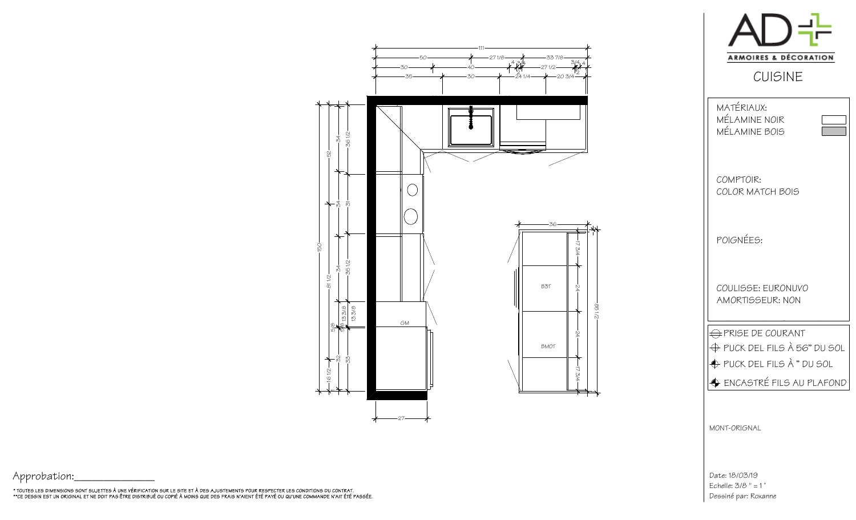

Date: 18/03/19 Echelle: 3/8 " = 1 'Dessiné par: Roxanne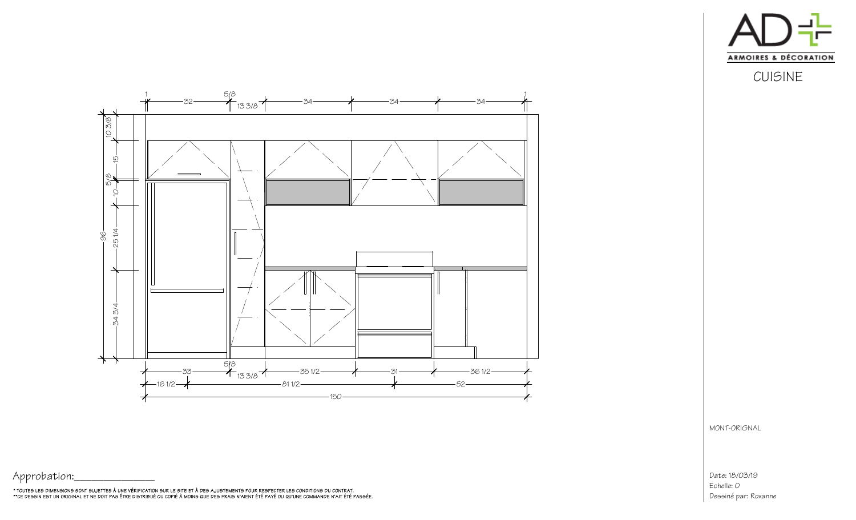

CUISINE



MONT-ORIGNAL

Date: 18/03/19Dessiné par: RoxanneEchelle: 0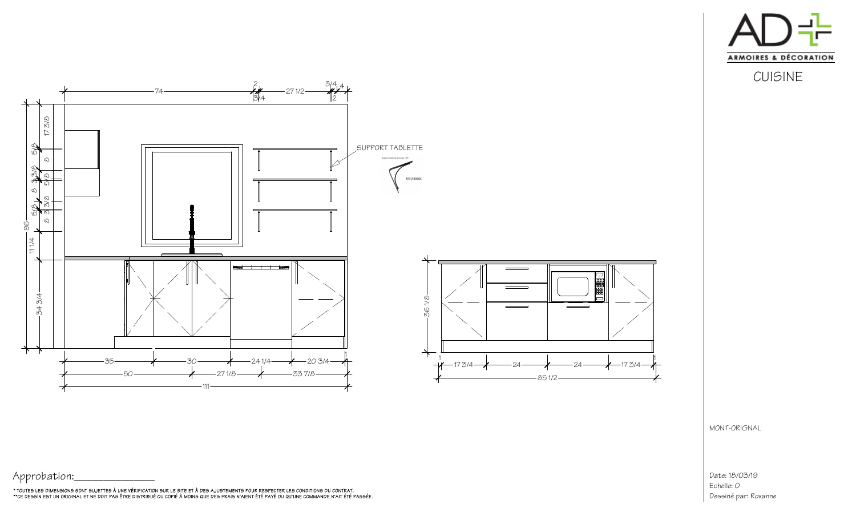



1

## Date: 18/03/19Dessiné par: RoxanneEchelle: 0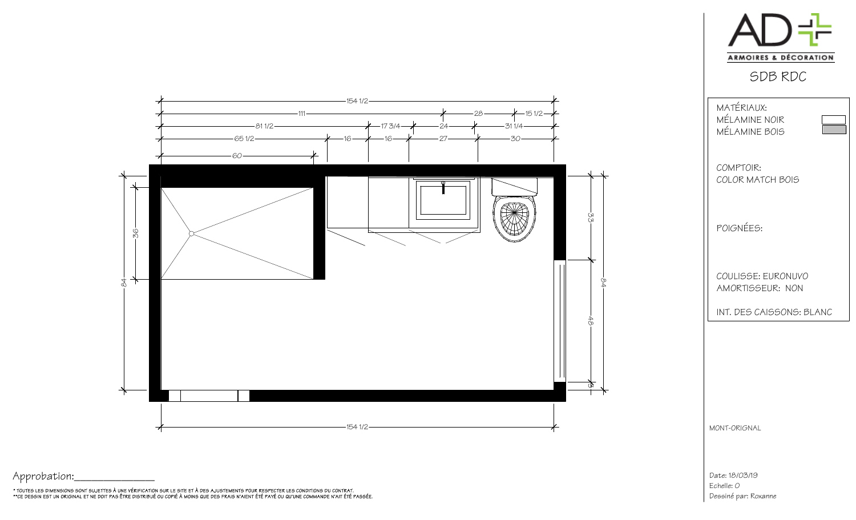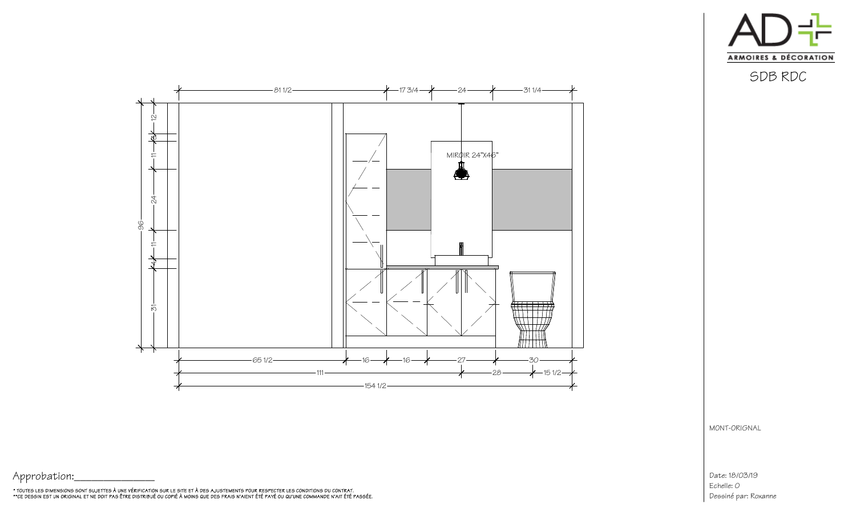



Date: 18/03/19Dessiné par: RoxanneEchelle: 0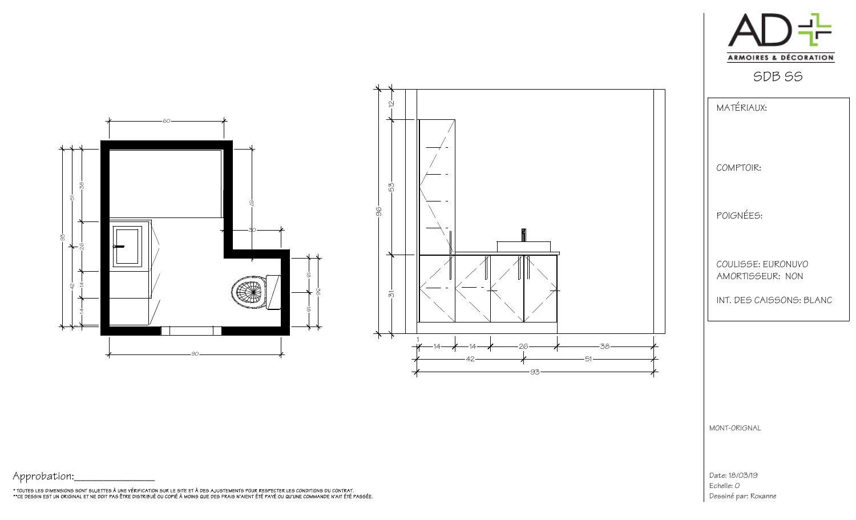

SDB SS



| MATÉRIAUX:                             |  |
|----------------------------------------|--|
| COMPTOIR:                              |  |
| POIGNÉES:                              |  |
| COULISSE: FURONUVO<br>AMORTISSEUR: NON |  |
| INT. DES CAISSONS: BLANC               |  |

MONT-ORIGNAL

Date: 18/03/19Dessiné par: RoxanneEchelle: 0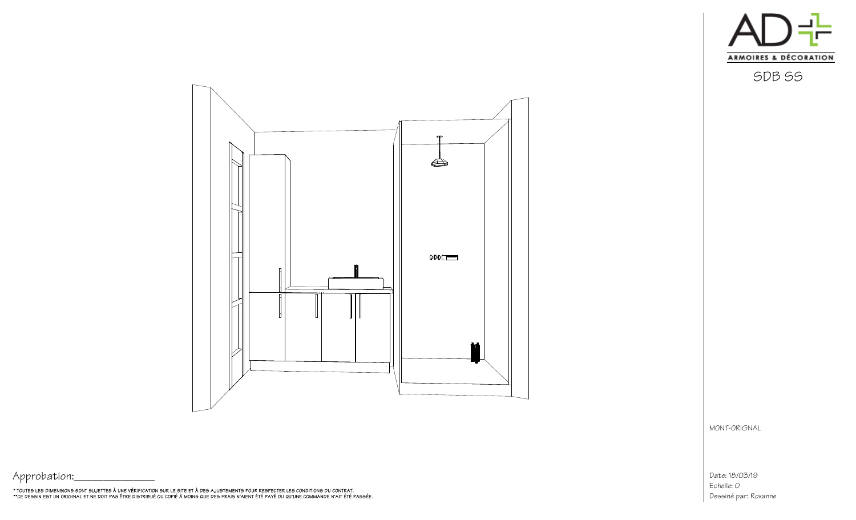

Æ  $000$ fh f

MONT-ORIGNAL

Date: 18/03/19 Echelle: O Dessiné par: Roxanne

Approbation:

\* TOUTES LES DIMENSIONS SONT SUJETTES À UNE VÉRIFICATION SUR LE SITE ET À DES AJUSTEMENTS POUR RESPECTER LES CONDITIONS DU CONTRAT.<br>\*\*CE DESSIN EST UN ORIGINAL ET NE DOIT PAS ÊTRE DISTRIBUÉ OU COPIÉ À MOINS QUE DES FRAIS N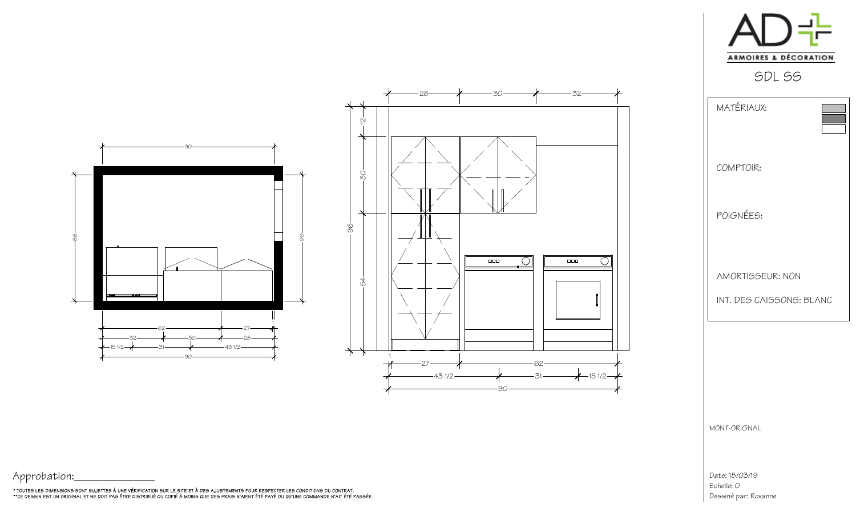



Date: 18/03/19Dessiné par: RoxanneEchelle: 0





 $8 - 30 - 7 - 32$ 

28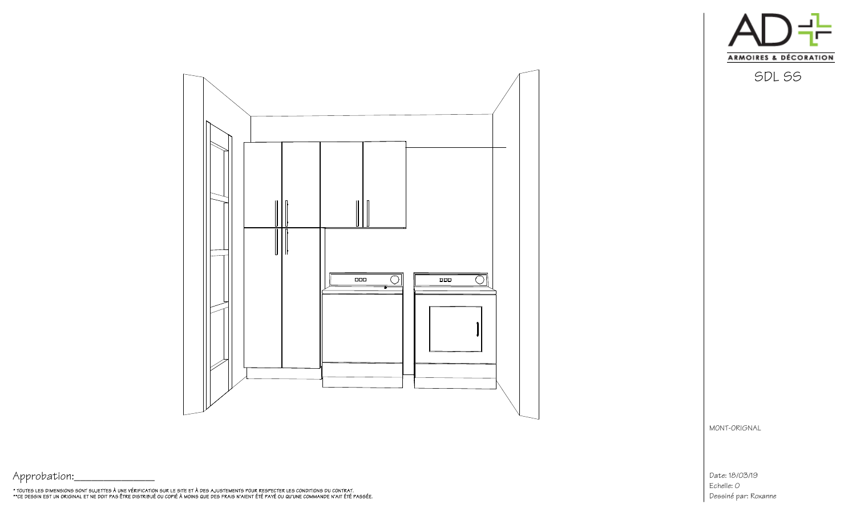



Date: 18/03/19 Echelle: O Dessiné par: Roxanne

Approbation:

\* TOUTES LES DIMENSIONS SONT SUJETTES À UNE VÉRIFICATION SUR LE SITE ET À DES AJUSTEMENTS POUR RESPECTER LES CONDITIONS DU CONTRAT.<br>\*\*CE DESSIN EST UN ORIGINAL ET NE DOIT PAS ÊTRE DISTRIBUÉ OU COPIÉ À MOINS QUE DES FRAIS N